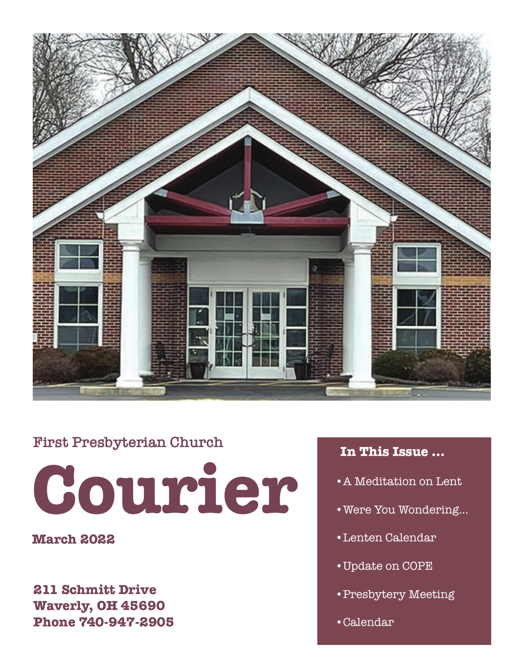

### **First Presbyterian Church**

**Courier**

**March 2022**

**211 Schmitt Drive Waverly, OH 45690 Phone 740-947-2905**

### **In This Issue ...**

- •A Meditation on Lent
- •Were You Wondering...
- •Lenten Calendar
- •Update on COPE
- •Presbytery Meeting
- •Calendar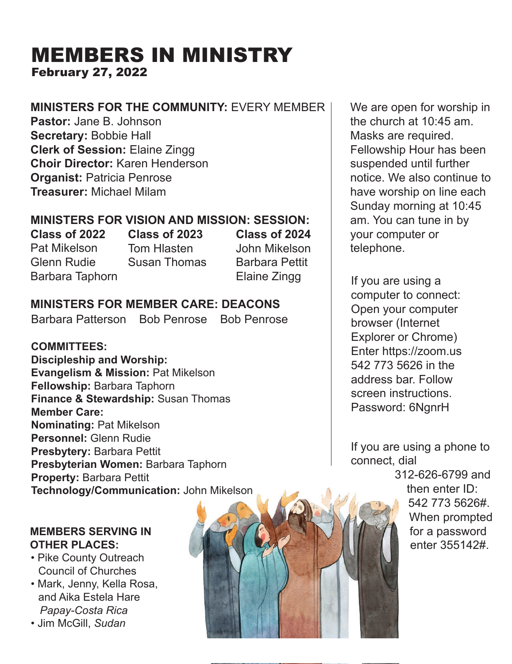### MEMBERS IN MINISTRY February 27, 2022

### **MINISTERS FOR THE COMMUNITY:** EVERY MEMBER

**Pastor:** Jane B. Johnson **Secretary:** Bobbie Hall **Clerk of Session:** Elaine Zingg **Choir Director:** Karen Henderson **Organist:** Patricia Penrose **Treasurer:** Michael Milam

### **MINISTERS FOR VISION AND MISSION: SESSION:**

**Class of 2022** Pat Mikelson Glenn Rudie Barbara Taphorn

**Class of 2023** Tom Hlasten Susan Thomas **Class of 2024** John Mikelson Barbara Pettit Elaine Zingg

### **MINISTERS FOR MEMBER CARE: DEACONS**

Barbara Patterson Bob Penrose Bob Penrose

#### **COMMITTEES:**

**Discipleship and Worship: Evangelism & Mission:** Pat Mikelson **Fellowship:** Barbara Taphorn **Finance & Stewardship:** Susan Thomas **Member Care: Nominating:** Pat Mikelson **Personnel:** Glenn Rudie **Presbytery:** Barbara Pettit **Presbyterian Women:** Barbara Taphorn **Property:** Barbara Pettit **Technology/Communication:** John Mikelson

#### **MEMBERS SERVING IN OTHER PLACES:**

- Pike County Outreach Council of Churches
- Mark, Jenny, Kella Rosa, and Aika Estela Hare  *Papay-Costa Rica*

*•* Jim McGill, *Sudan*



We are open for worship in the church at 10:45 am. Masks are required. Fellowship Hour has been suspended until further notice. We also continue to have worship on line each Sunday morning at 10:45 am. You can tune in by your computer or telephone.

If you are using a computer to connect: Open your computer browser (Internet Explorer or Chrome) Enter https://zoom.us 542 773 5626 in the address bar. Follow screen instructions. Password: 6NgnrH

If you are using a phone to connect, dial

> 312-626-6799 and then enter ID: 542 773 5626#. When prompted for a password enter 355142#.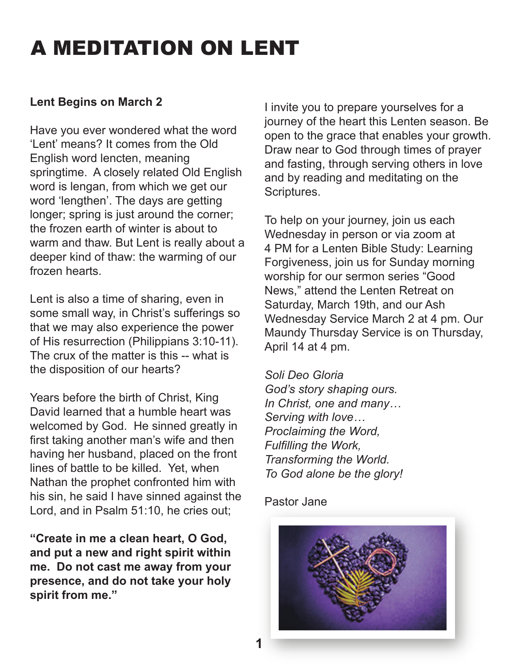### A MEDITATION ON LENT

### **Lent Begins on March 2**

Have you ever wondered what the word 'Lent' means? It comes from the Old English word lencten, meaning springtime. A closely related Old English word is lengan, from which we get our word 'lengthen'. The days are getting longer; spring is just around the corner; the frozen earth of winter is about to warm and thaw. But Lent is really about a deeper kind of thaw: the warming of our frozen hearts.

Lent is also a time of sharing, even in some small way, in Christ's sufferings so that we may also experience the power of His resurrection (Philippians 3:10-11). The crux of the matter is this -- what is the disposition of our hearts?

Years before the birth of Christ, King David learned that a humble heart was welcomed by God. He sinned greatly in first taking another man's wife and then having her husband, placed on the front lines of battle to be killed. Yet, when Nathan the prophet confronted him with his sin, he said I have sinned against the Lord, and in Psalm 51:10, he cries out;

**"Create in me a clean heart, O God, and put a new and right spirit within me. Do not cast me away from your presence, and do not take your holy spirit from me."**

I invite you to prepare yourselves for a journey of the heart this Lenten season. Be open to the grace that enables your growth. Draw near to God through times of prayer and fasting, through serving others in love and by reading and meditating on the Scriptures.

To help on your journey, join us each Wednesday in person or via zoom at 4 PM for a Lenten Bible Study: Learning Forgiveness, join us for Sunday morning worship for our sermon series "Good News," attend the Lenten Retreat on Saturday, March 19th, and our Ash Wednesday Service March 2 at 4 pm. Our Maundy Thursday Service is on Thursday, April 14 at 4 pm.

*Soli Deo Gloria God's story shaping ours. In Christ, one and many… Serving with love… Proclaiming the Word, Fulfilling the Work, Transforming the World. To God alone be the glory!*

#### Pastor Jane

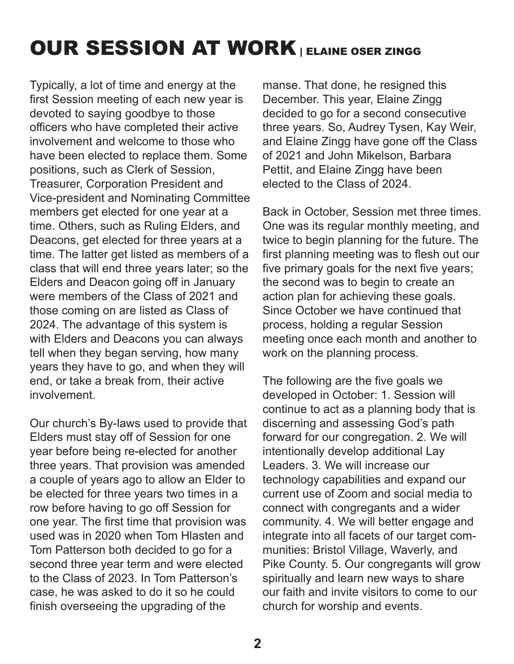### OUR SESSION AT WORK | ELAINE OSER ZINGG

Typically, a lot of time and energy at the first Session meeting of each new year is devoted to saying goodbye to those officers who have completed their active involvement and welcome to those who have been elected to replace them. Some positions, such as Clerk of Session, Treasurer, Corporation President and Vice-president and Nominating Committee members get elected for one year at a time. Others, such as Ruling Elders, and Deacons, get elected for three years at a time. The latter get listed as members of a class that will end three years later; so the Elders and Deacon going off in January were members of the Class of 2021 and those coming on are listed as Class of 2024. The advantage of this system is with Elders and Deacons you can always tell when they began serving, how many years they have to go, and when they will end, or take a break from, their active involvement.

Our church's By-laws used to provide that Elders must stay off of Session for one year before being re-elected for another three years. That provision was amended a couple of years ago to allow an Elder to be elected for three years two times in a row before having to go off Session for one year. The first time that provision was used was in 2020 when Tom Hlasten and Tom Patterson both decided to go for a second three year term and were elected to the Class of 2023. In Tom Patterson's case, he was asked to do it so he could finish overseeing the upgrading of the

manse. That done, he resigned this December. This year, Elaine Zingg decided to go for a second consecutive three years. So, Audrey Tysen, Kay Weir, and Elaine Zingg have gone off the Class of 2021 and John Mikelson, Barbara Pettit, and Elaine Zingg have been elected to the Class of 2024.

Back in October, Session met three times. One was its regular monthly meeting, and twice to begin planning for the future. The first planning meeting was to flesh out our five primary goals for the next five years; the second was to begin to create an action plan for achieving these goals. Since October we have continued that process, holding a regular Session meeting once each month and another to work on the planning process.

The following are the five goals we developed in October: 1. Session will continue to act as a planning body that is discerning and assessing God's path forward for our congregation. 2. We will intentionally develop additional Lay Leaders. 3. We will increase our technology capabilities and expand our current use of Zoom and social media to connect with congregants and a wider community. 4. We will better engage and integrate into all facets of our target communities: Bristol Village, Waverly, and Pike County. 5. Our congregants will grow spiritually and learn new ways to share our faith and invite visitors to come to our church for worship and events.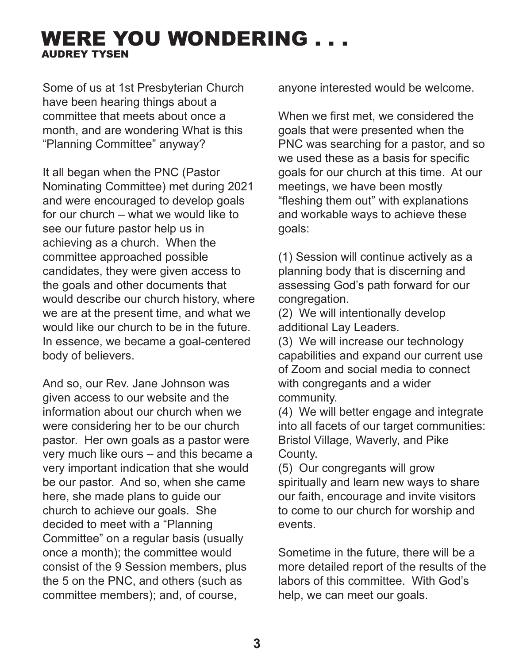### WERE YOU WONDERING . . . AUDREY TYSEN

Some of us at 1st Presbyterian Church have been hearing things about a committee that meets about once a month, and are wondering What is this "Planning Committee" anyway?

It all began when the PNC (Pastor Nominating Committee) met during 2021 and were encouraged to develop goals for our church – what we would like to see our future pastor help us in achieving as a church. When the committee approached possible candidates, they were given access to the goals and other documents that would describe our church history, where we are at the present time, and what we would like our church to be in the future. In essence, we became a goal-centered body of believers.

And so, our Rev. Jane Johnson was given access to our website and the information about our church when we were considering her to be our church pastor. Her own goals as a pastor were very much like ours – and this became a very important indication that she would be our pastor. And so, when she came here, she made plans to guide our church to achieve our goals. She decided to meet with a "Planning Committee" on a regular basis (usually once a month); the committee would consist of the 9 Session members, plus the 5 on the PNC, and others (such as committee members); and, of course,

anyone interested would be welcome.

When we first met, we considered the goals that were presented when the PNC was searching for a pastor, and so we used these as a basis for specific goals for our church at this time. At our meetings, we have been mostly "fleshing them out" with explanations and workable ways to achieve these goals:

(1) Session will continue actively as a planning body that is discerning and assessing God's path forward for our congregation.

(2) We will intentionally develop additional Lay Leaders.

(3) We will increase our technology capabilities and expand our current use of Zoom and social media to connect with congregants and a wider community.

(4) We will better engage and integrate into all facets of our target communities: Bristol Village, Waverly, and Pike County.

(5) Our congregants will grow spiritually and learn new ways to share our faith, encourage and invite visitors to come to our church for worship and events.

Sometime in the future, there will be a more detailed report of the results of the labors of this committee. With God's help, we can meet our goals.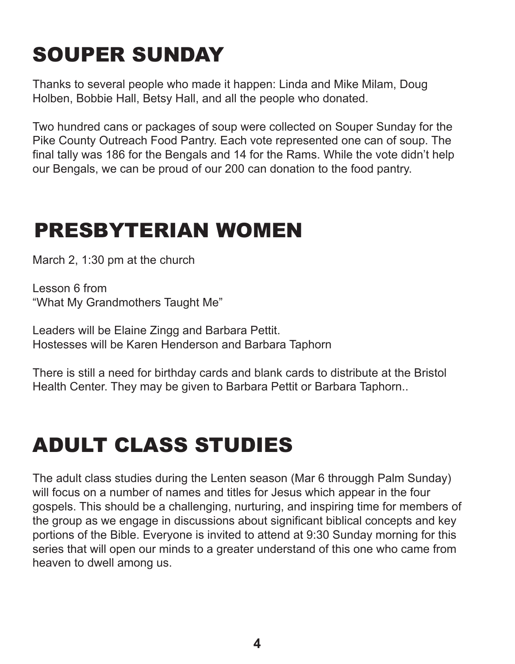## SOUPER SUNDAY

Thanks to several people who made it happen: Linda and Mike Milam, Doug Holben, Bobbie Hall, Betsy Hall, and all the people who donated.

Two hundred cans or packages of soup were collected on Souper Sunday for the Pike County Outreach Food Pantry. Each vote represented one can of soup. The final tally was 186 for the Bengals and 14 for the Rams. While the vote didn't help our Bengals, we can be proud of our 200 can donation to the food pantry.

### PRESBYTERIAN WOMEN

March 2, 1:30 pm at the church

Lesson 6 from "What My Grandmothers Taught Me"

Leaders will be Elaine Zingg and Barbara Pettit. Hostesses will be Karen Henderson and Barbara Taphorn

There is still a need for birthday cards and blank cards to distribute at the Bristol Health Center. They may be given to Barbara Pettit or Barbara Taphorn..

# ADULT CLASS STUDIES

The adult class studies during the Lenten season (Mar 6 througgh Palm Sunday) will focus on a number of names and titles for Jesus which appear in the four gospels. This should be a challenging, nurturing, and inspiring time for members of the group as we engage in discussions about significant biblical concepts and key portions of the Bible. Everyone is invited to attend at 9:30 Sunday morning for this series that will open our minds to a greater understand of this one who came from heaven to dwell among us.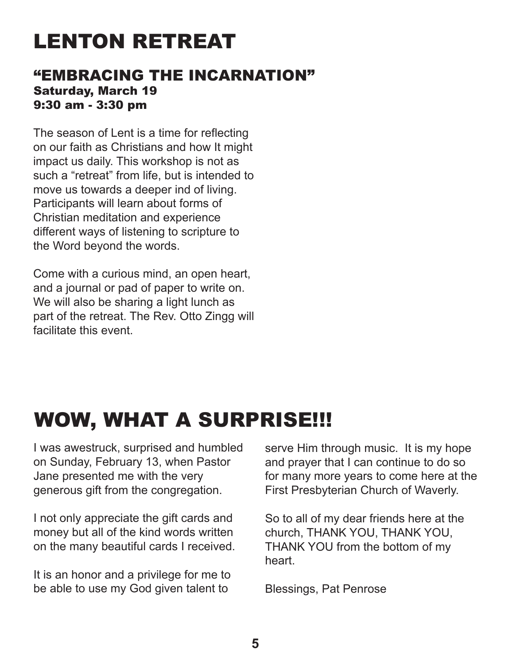# LENTON RETREAT

### "EMBRACING THE INCARNATION" Saturday, March 19 9:30 am - 3:30 pm

The season of Lent is a time for reflecting on our faith as Christians and how It might impact us daily. This workshop is not as such a "retreat" from life, but is intended to move us towards a deeper ind of living. Participants will learn about forms of Christian meditation and experience different ways of listening to scripture to the Word beyond the words.

Come with a curious mind, an open heart, and a journal or pad of paper to write on. We will also be sharing a light lunch as part of the retreat. The Rev. Otto Zingg will facilitate this event.

## WOW, WHAT A SURPRISE!!!

I was awestruck, surprised and humbled on Sunday, February 13, when Pastor Jane presented me with the very generous gift from the congregation.

I not only appreciate the gift cards and money but all of the kind words written on the many beautiful cards I received.

It is an honor and a privilege for me to be able to use my God given talent to

serve Him through music. It is my hope and prayer that I can continue to do so for many more years to come here at the First Presbyterian Church of Waverly.

So to all of my dear friends here at the church, THANK YOU, THANK YOU, THANK YOU from the bottom of my heart.

Blessings, Pat Penrose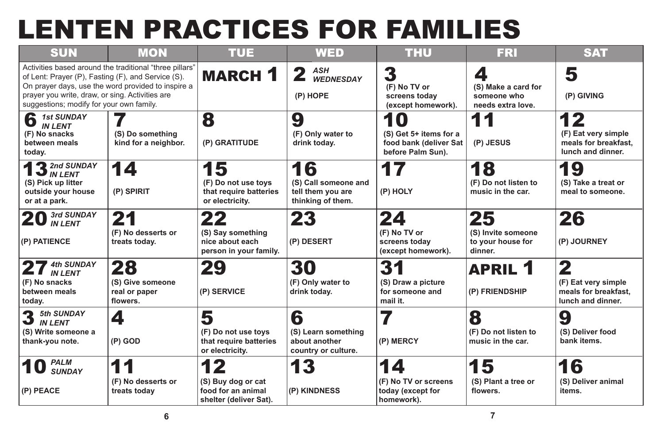# LENTEN PRACTICES FOR FAMILIES



| <b>SUN</b>                                                                                                                                                                                                                                                         | <b>MON</b>                                          | <b>TUE</b>                                                              | <b>WED</b>                                                           | <b>THU</b>                                                                  | <b>FRI</b>                                               | <b>SAT</b>                                                             |
|--------------------------------------------------------------------------------------------------------------------------------------------------------------------------------------------------------------------------------------------------------------------|-----------------------------------------------------|-------------------------------------------------------------------------|----------------------------------------------------------------------|-----------------------------------------------------------------------------|----------------------------------------------------------|------------------------------------------------------------------------|
| Activities based around the traditional "three pillars"<br>of Lent: Prayer (P), Fasting (F), and Service (S).<br>On prayer days, use the word provided to inspire a<br>prayer you write, draw, or sing. Activities are<br>suggestions; modify for your own family. |                                                     | <b>MARCH 1</b>                                                          | <b>ASH</b><br>40<br><b>WEDNESDAY</b><br>(P) HOPE                     | 3<br>(F) No TV or<br>screens today<br>(except homework).                    | (S) Make a card for<br>someone who<br>needs extra love.  | 5<br>(P) GIVING                                                        |
| 6<br><b>1st SUNDAY</b><br><b>IN LENT</b><br>(F) No snacks<br>between meals<br>today.                                                                                                                                                                               | (S) Do something<br>kind for a neighbor.            | 8<br>(P) GRATITUDE                                                      | 9<br>(F) Only water to<br>drink today.                               | 10<br>(S) Get 5+ items for a<br>food bank (deliver Sat<br>before Palm Sun). | (P) JESUS                                                | 12<br>(F) Eat very simple<br>meals for breakfast,<br>lunch and dinner. |
| <b>13</b> 2nd SUNDAY<br>(S) Pick up litter<br>outside your house<br>or at a park.                                                                                                                                                                                  | 14<br>(P) SPIRIT                                    | 15<br>(F) Do not use toys<br>that require batteries<br>or electricity.  | 16<br>(S) Call someone and<br>tell them you are<br>thinking of them. | 17<br>(P) HOLY                                                              | 18<br>(F) Do not listen to<br>music in the car.          | 19<br>(S) Take a treat or<br>meal to someone.                          |
| 3rd SUNDAY<br><b>IN LENT</b><br>(P) PATIENCE                                                                                                                                                                                                                       | 21<br>(F) No desserts or<br>treats today.           | 22<br>(S) Say something<br>nice about each<br>person in your family.    | 23<br>(P) DESERT                                                     | 24<br>(F) No TV or<br>screens today<br>(except homework).                   | 25<br>(S) Invite someone<br>to your house for<br>dinner. | 26<br>(P) JOURNEY                                                      |
| <b>4th SUNDAY</b><br>ŋ<br><b>IN LENT</b><br>(F) No snacks<br>between meals<br>today.                                                                                                                                                                               | 28<br>(S) Give someone<br>real or paper<br>flowers. | 29<br>(P) SERVICE                                                       | 30<br>(F) Only water to<br>drink today.                              | 31<br>(S) Draw a picture<br>for someone and<br>mail it.                     | <b>APRIL 1</b><br>(P) FRIENDSHIP                         | 2<br>(F) Eat very simple<br>meals for breakfast,<br>lunch and dinner.  |
| 3<br><b>5th SUNDAY</b><br><b>IN LENT</b><br>(S) Write someone a<br>thank-you note.                                                                                                                                                                                 | 4<br>$(P)$ GOD                                      | 5<br>(F) Do not use toys<br>that require batteries<br>or electricity.   | 6<br>(S) Learn something<br>about another<br>country or culture.     | (P) MERCY                                                                   | 8<br>(F) Do not listen to<br>music in the car.           | 9<br>(S) Deliver food<br>bank items.                                   |
| <b>PALM</b><br><b>SUNDAY</b><br>$(P)$ PEACE                                                                                                                                                                                                                        | 11<br>(F) No desserts or<br>treats today            | 2<br>(S) Buy dog or cat<br>food for an animal<br>shelter (deliver Sat). | 13<br>(P) KINDNESS                                                   | 14<br>(F) No TV or screens<br>today (except for<br>homework).               | 15<br>(S) Plant a tree or<br>flowers.                    | 16<br>(S) Deliver animal<br><i>items.</i>                              |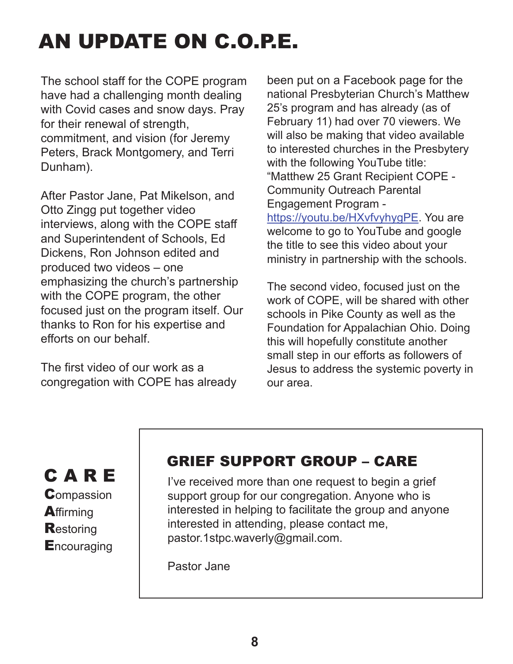# AN UPDATE ON C.O.P.E.

The school staff for the COPE program have had a challenging month dealing with Covid cases and snow days. Pray for their renewal of strength, commitment, and vision (for Jeremy Peters, Brack Montgomery, and Terri Dunham).

After Pastor Jane, Pat Mikelson, and Otto Zingg put together video interviews, along with the COPE staff and Superintendent of Schools, Ed Dickens, Ron Johnson edited and produced two videos – one emphasizing the church's partnership with the COPE program, the other focused just on the program itself. Our thanks to Ron for his expertise and efforts on our behalf.

The first video of our work as a congregation with COPE has already

been put on a Facebook page for the national Presbyterian Church's Matthew 25's program and has already (as of February 11) had over 70 viewers. We will also be making that video available to interested churches in the Presbytery with the following YouTube title: "Matthew 25 Grant Recipient COPE - Community Outreach Parental Engagement Program -

https://youtu.be/HXvfvyhygPE. You are welcome to go to YouTube and google the title to see this video about your ministry in partnership with the schools.

The second video, focused just on the work of COPE, will be shared with other schools in Pike County as well as the Foundation for Appalachian Ohio. Doing this will hopefully constitute another small step in our efforts as followers of Jesus to address the systemic poverty in our area.

C A R E **Compassion A**ffirming **Restoring Encouraging** 

### GRIEF SUPPORT GROUP – CARE

I've received more than one request to begin a grief support group for our congregation. Anyone who is interested in helping to facilitate the group and anyone interested in attending, please contact me, pastor.1stpc.waverly@gmail.com.

Pastor Jane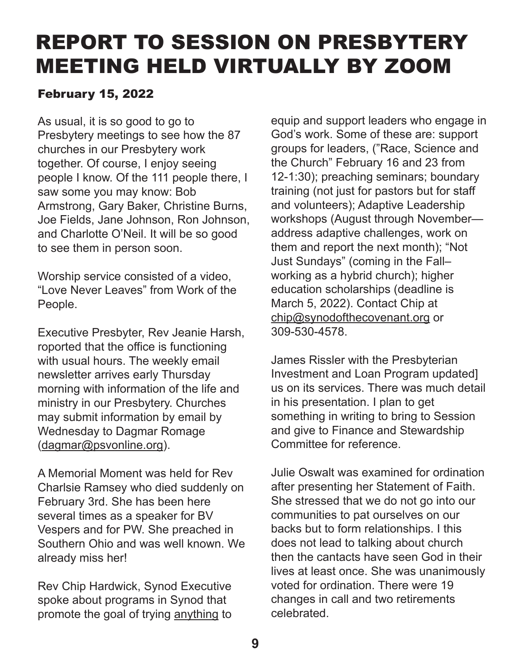### REPORT TO SESSION ON PRESBYTERY MEETING HELD VIRTUALLY BY ZOOM

### February 15, 2022

As usual, it is so good to go to Presbytery meetings to see how the 87 churches in our Presbytery work together. Of course, I enjoy seeing people I know. Of the 111 people there, I saw some you may know: Bob Armstrong, Gary Baker, Christine Burns, Joe Fields, Jane Johnson, Ron Johnson, and Charlotte O'Neil. It will be so good to see them in person soon.

Worship service consisted of a video, "Love Never Leaves" from Work of the People.

Executive Presbyter, Rev Jeanie Harsh, roported that the office is functioning with usual hours. The weekly email newsletter arrives early Thursday morning with information of the life and ministry in our Presbytery. Churches may submit information by email by Wednesday to Dagmar Romage (dagmar@psvonline.org).

A Memorial Moment was held for Rev Charlsie Ramsey who died suddenly on February 3rd. She has been here several times as a speaker for BV Vespers and for PW. She preached in Southern Ohio and was well known. We already miss her!

Rev Chip Hardwick, Synod Executive spoke about programs in Synod that promote the goal of trying anything to

equip and support leaders who engage in God's work. Some of these are: support groups for leaders, ("Race, Science and the Church" February 16 and 23 from 12-1:30); preaching seminars; boundary training (not just for pastors but for staff and volunteers); Adaptive Leadership workshops (August through November address adaptive challenges, work on them and report the next month); "Not Just Sundays" (coming in the Fall– working as a hybrid church); higher education scholarships (deadline is March 5, 2022). Contact Chip at chip@synodofthecovenant.org or 309-530-4578.

James Rissler with the Presbyterian Investment and Loan Program updated] us on its services. There was much detail in his presentation. I plan to get something in writing to bring to Session and give to Finance and Stewardship Committee for reference.

Julie Oswalt was examined for ordination after presenting her Statement of Faith. She stressed that we do not go into our communities to pat ourselves on our backs but to form relationships. I this does not lead to talking about church then the cantacts have seen God in their lives at least once. She was unanimously voted for ordination. There were 19 changes in call and two retirements celebrated.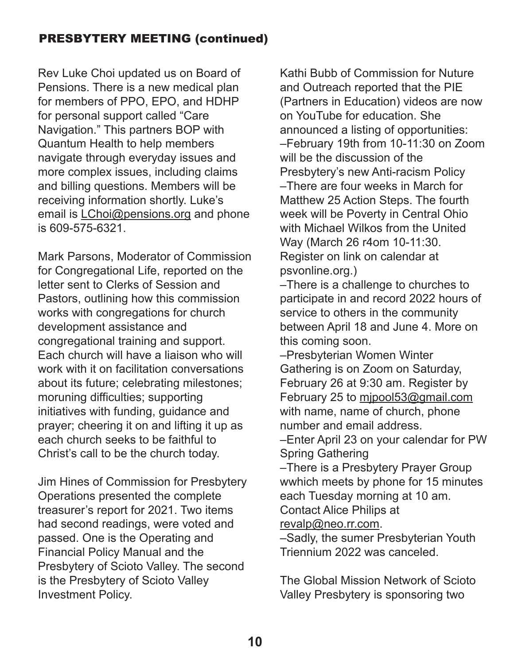### PRESBYTERY MEETING (continued)

Rev Luke Choi updated us on Board of Pensions. There is a new medical plan for members of PPO, EPO, and HDHP for personal support called "Care Navigation." This partners BOP with Quantum Health to help members navigate through everyday issues and more complex issues, including claims and billing questions. Members will be receiving information shortly. Luke's email is LChoi@pensions.org and phone is 609-575-6321.

Mark Parsons, Moderator of Commission for Congregational Life, reported on the letter sent to Clerks of Session and Pastors, outlining how this commission works with congregations for church development assistance and congregational training and support. Each church will have a liaison who will work with it on facilitation conversations about its future; celebrating milestones; moruning difficulties; supporting initiatives with funding, guidance and prayer; cheering it on and lifting it up as each church seeks to be faithful to Christ's call to be the church today.

Jim Hines of Commission for Presbytery Operations presented the complete treasurer's report for 2021. Two items had second readings, were voted and passed. One is the Operating and Financial Policy Manual and the Presbytery of Scioto Valley. The second is the Presbytery of Scioto Valley Investment Policy.

Kathi Bubb of Commission for Nuture and Outreach reported that the PIE (Partners in Education) videos are now on YouTube for education. She announced a listing of opportunities: –February 19th from 10-11:30 on Zoom will be the discussion of the Presbytery's new Anti-racism Policy –There are four weeks in March for Matthew 25 Action Steps. The fourth week will be Poverty in Central Ohio with Michael Wilkos from the United Way (March 26 r4om 10-11:30. Register on link on calendar at psvonline.org.)

–There is a challenge to churches to participate in and record 2022 hours of service to others in the community between April 18 and June 4. More on this coming soon.

–Presbyterian Women Winter Gathering is on Zoom on Saturday, February 26 at 9:30 am. Register by February 25 to mjpool53@gmail.com with name, name of church, phone number and email address.

–Enter April 23 on your calendar for PW Spring Gathering

–There is a Presbytery Prayer Group wwhich meets by phone for 15 minutes each Tuesday morning at 10 am. Contact Alice Philips at

revalp@neo.rr.com.

–Sadly, the sumer Presbyterian Youth Triennium 2022 was canceled.

The Global Mission Network of Scioto Valley Presbytery is sponsoring two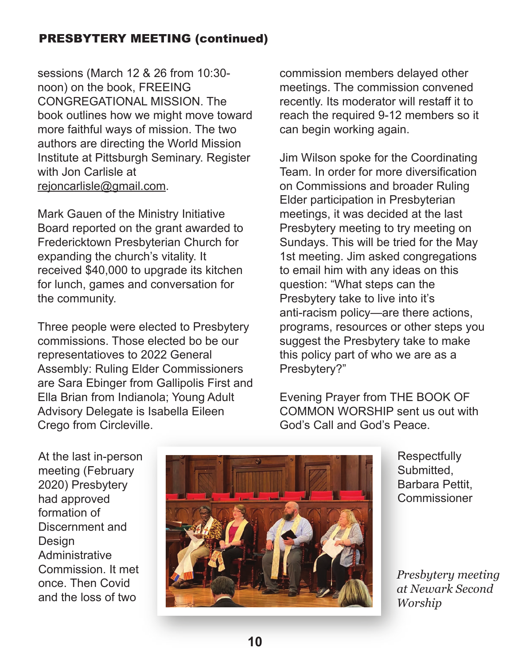### PRESBYTERY MEETING (continued)

sessions (March 12 & 26 from 10:30 noon) on the book, FREEING CONGREGATIONAL MISSION. The book outlines how we might move toward more faithful ways of mission. The two authors are directing the World Mission Institute at Pittsburgh Seminary. Register with Jon Carlisle at rejoncarlisle@gmail.com.

Mark Gauen of the Ministry Initiative Board reported on the grant awarded to Fredericktown Presbyterian Church for expanding the church's vitality. It received \$40,000 to upgrade its kitchen for lunch, games and conversation for the community.

Three people were elected to Presbytery commissions. Those elected bo be our representatioves to 2022 General Assembly: Ruling Elder Commissioners are Sara Ebinger from Gallipolis First and Ella Brian from Indianola; Young Adult Advisory Delegate is Isabella Eileen Crego from Circleville.

commission members delayed other meetings. The commission convened recently. Its moderator will restaff it to reach the required 9-12 members so it can begin working again.

Jim Wilson spoke for the Coordinating Team. In order for more diversification on Commissions and broader Ruling Elder participation in Presbyterian meetings, it was decided at the last Presbytery meeting to try meeting on Sundays. This will be tried for the May 1st meeting. Jim asked congregations to email him with any ideas on this question: "What steps can the Presbytery take to live into it's anti-racism policy—are there actions, programs, resources or other steps you suggest the Presbytery take to make this policy part of who we are as a Presbytery?"

Evening Prayer from THE BOOK OF COMMON WORSHIP sent us out with God's Call and God's Peace.

At the last in-person meeting (February 2020) Presbytery had approved formation of Discernment and **Design** Administrative Commission. It met once. Then Covid and the loss of two



**Respectfully** Submitted, Barbara Pettit, Commissioner

*Presbytery meeting at Newark Second Worship*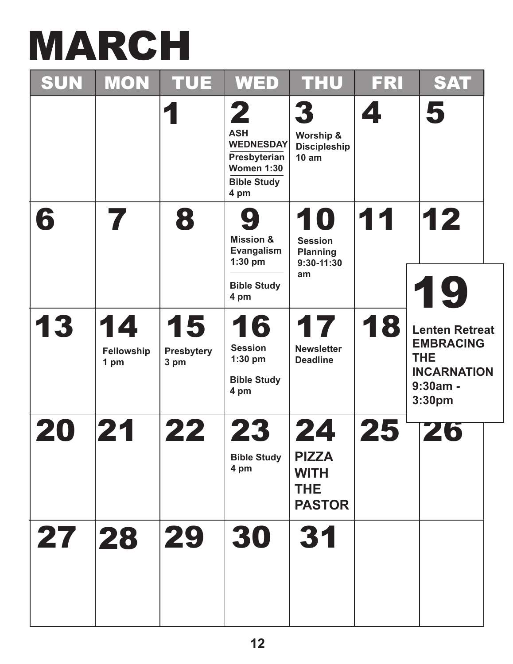# MARCH

| SUN   | <b>MON</b>                      | <b>TUE</b>                      | <b>WED</b>                                                                                             | <b>THU</b>                                                       | FRI | <b>SAT</b>                                                                                            |  |
|-------|---------------------------------|---------------------------------|--------------------------------------------------------------------------------------------------------|------------------------------------------------------------------|-----|-------------------------------------------------------------------------------------------------------|--|
|       |                                 | 1                               | 2<br><b>ASH</b><br><b>WEDNESDAY</b><br>Presbyterian<br><b>Women 1:30</b><br><b>Bible Study</b><br>4 pm | 3<br>Worship &<br><b>Discipleship</b><br>10 am                   | 4   | 5                                                                                                     |  |
| 6     |                                 | 8                               | 9<br><b>Mission &amp;</b><br>Evangalism<br>$1:30$ pm<br><b>Bible Study</b><br>4 pm                     | 10<br><b>Session</b><br><b>Planning</b><br>$9:30-11:30$<br>am    | 11  | 12<br>19                                                                                              |  |
| 13    | 14<br><b>Fellowship</b><br>1 pm | 15<br><b>Presbytery</b><br>3 pm | 16<br><b>Session</b><br>$1:30$ pm<br><b>Bible Study</b><br>4 pm                                        | 17<br><b>Newsletter</b><br><b>Deadline</b>                       | 18  | <b>Lenten Retreat</b><br><b>EMBRACING</b><br><b>THE</b><br><b>INCARNATION</b><br>$9:30am -$<br>3:30pm |  |
| 20    | 21                              | 22                              | 23<br><b>Bible Study</b><br>4 pm                                                                       | 24<br><b>PIZZA</b><br><b>WITH</b><br><b>THE</b><br><b>PASTOR</b> | 25  | 746                                                                                                   |  |
| 27 28 |                                 | 29                              | 30                                                                                                     | 31                                                               |     |                                                                                                       |  |